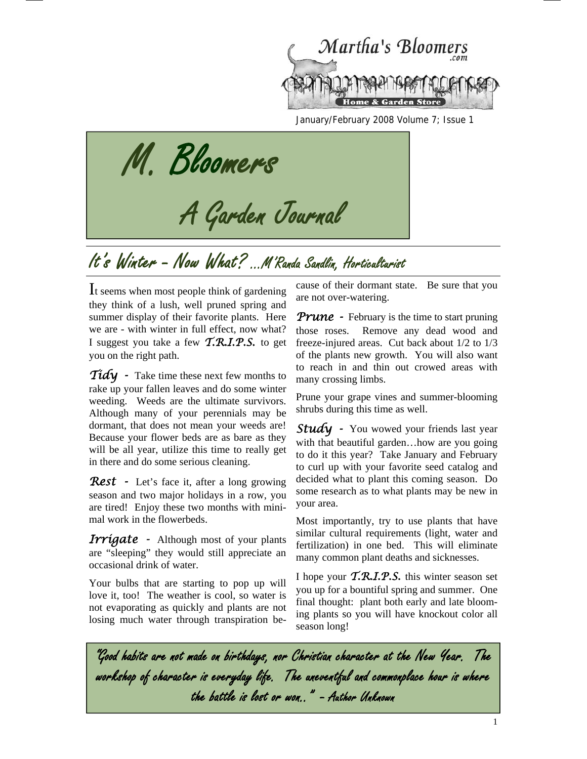

January/February 2008 Volume 7; Issue 1

M. Bloomers<br>A Garden Journal

# It's Winter - Now What? ...M'Randa Sandlin, Horticaltarist

It seems when most people think of gardening they think of a lush, well pruned spring and summer display of their favorite plants. Here we are - with winter in full effect, now what? I suggest you take a few *T.R.I.P.S.* to get you on the right path.

*Tidy* - Take time these next few months to rake up your fallen leaves and do some winter weeding. Weeds are the ultimate survivors. Although many of your perennials may be dormant, that does not mean your weeds are! Because your flower beds are as bare as they will be all year, utilize this time to really get in there and do some serious cleaning.

*Rest* - Let's face it, after a long growing season and two major holidays in a row, you are tired! Enjoy these two months with minimal work in the flowerbeds.

*Irrigate* - Although most of your plants are "sleeping" they would still appreciate an occasional drink of water.

Your bulbs that are starting to pop up will love it, too! The weather is cool, so water is not evaporating as quickly and plants are not losing much water through transpiration because of their dormant state. Be sure that you are not over-watering.

*Prune - February is the time to start pruning* those roses. Remove any dead wood and freeze-injured areas. Cut back about 1/2 to 1/3 of the plants new growth. You will also want to reach in and thin out crowed areas with many crossing limbs.

Prune your grape vines and summer-blooming shrubs during this time as well.

**Study** - You wowed your friends last year with that beautiful garden...how are you going to do it this year? Take January and February to curl up with your favorite seed catalog and decided what to plant this coming season. Do some research as to what plants may be new in your area.

Most importantly, try to use plants that have similar cultural requirements (light, water and fertilization) in one bed. This will eliminate many common plant deaths and sicknesses.

I hope your *T.R.I.P.S.* this winter season set you up for a bountiful spring and summer. One final thought: plant both early and late blooming plants so you will have knockout color all season long!

"Good habits are not made on birthdays, nor Christian character at the New Year. The workshop of character is everyday life. The uneventful and commonplace hour is where the battle is lost or won.." - Author Unknown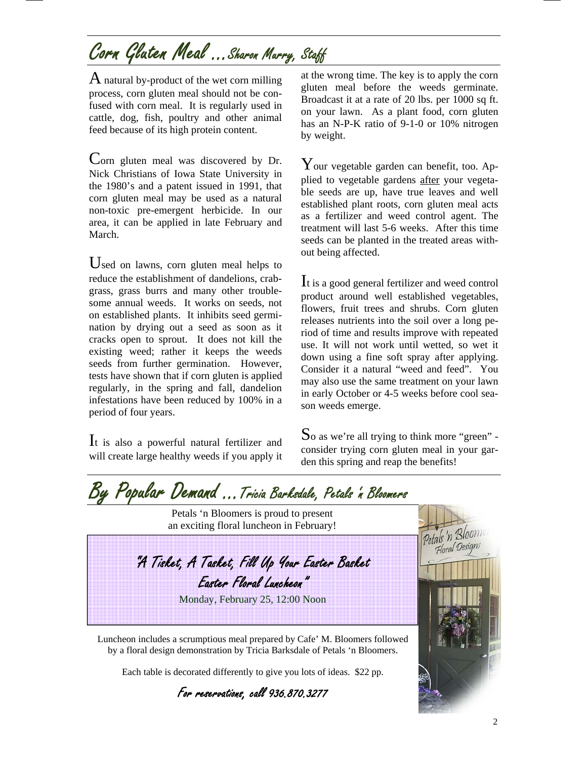# Corn Gluten Meal ...Sharon Murry, Staff

 $\overline{A}$  natural by-product of the wet corn milling process, corn gluten meal should not be confused with corn meal. It is regularly used in cattle, dog, fish, poultry and other animal feed because of its high protein content.

Corn gluten meal was discovered by Dr. Nick Christians of Iowa State University in the 1980's and a patent issued in 1991, that corn gluten meal may be used as a natural non-toxic pre-emergent herbicide. In our area, it can be applied in late February and March.

Used on lawns, corn gluten meal helps to reduce the establishment of dandelions, crabgrass, grass burrs and many other troublesome annual weeds. It works on seeds, not on established plants. It inhibits seed germination by drying out a seed as soon as it cracks open to sprout. It does not kill the existing weed; rather it keeps the weeds seeds from further germination. However, tests have shown that if corn gluten is applied regularly, in the spring and fall, dandelion infestations have been reduced by 100% in a period of four years.

It is also a powerful natural fertilizer and will create large healthy weeds if you apply it

at the wrong time. The key is to apply the corn gluten meal before the weeds germinate. Broadcast it at a rate of 20 lbs. per 1000 sq ft. on your lawn. As a plant food, corn gluten has an N-P-K ratio of 9-1-0 or 10% nitrogen by weight.

Your vegetable garden can benefit, too. Applied to vegetable gardens after your vegetable seeds are up, have true leaves and well established plant roots, corn gluten meal acts as a fertilizer and weed control agent. The treatment will last 5-6 weeks. After this time seeds can be planted in the treated areas without being affected.

It is a good general fertilizer and weed control product around well established vegetables, flowers, fruit trees and shrubs. Corn gluten releases nutrients into the soil over a long period of time and results improve with repeated use. It will not work until wetted, so wet it down using a fine soft spray after applying. Consider it a natural "weed and feed". You may also use the same treatment on your lawn in early October or 4-5 weeks before cool season weeds emerge.

 $\mathbf S$ o as we're all trying to think more "green" consider trying corn gluten meal in your garden this spring and reap the benefits!

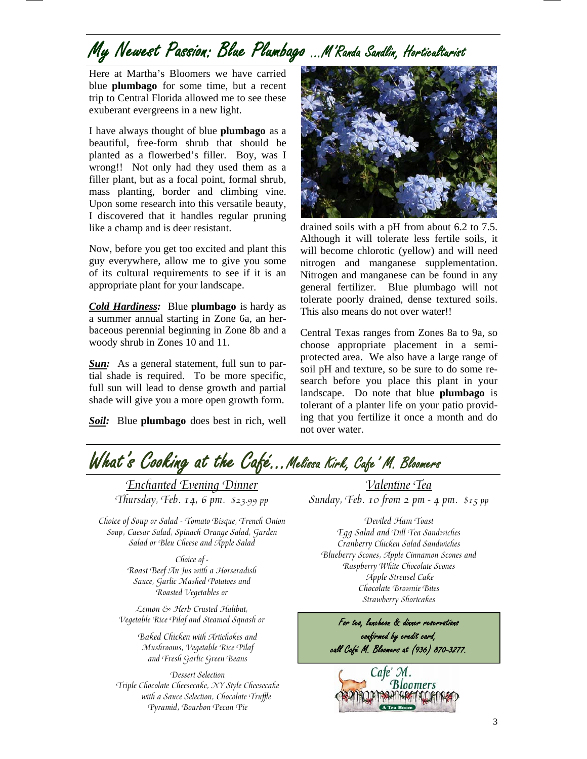## My Newest Passion: Blue Plumbago …M'Randa Sandlin, Horticulturist

Here at Martha's Bloomers we have carried blue **plumbago** for some time, but a recent trip to Central Florida allowed me to see these exuberant evergreens in a new light.

I have always thought of blue **plumbago** as a beautiful, free-form shrub that should be planted as a flowerbed's filler. Boy, was I wrong!! Not only had they used them as a filler plant, but as a focal point, formal shrub, mass planting, border and climbing vine. Upon some research into this versatile beauty, I discovered that it handles regular pruning like a champ and is deer resistant.

Now, before you get too excited and plant this guy everywhere, allow me to give you some of its cultural requirements to see if it is an appropriate plant for your landscape.

*Cold Hardiness:* Blue **plumbago** is hardy as a summer annual starting in Zone 6a, an herbaceous perennial beginning in Zone 8b and a woody shrub in Zones 10 and 11.

**Sun:** As a general statement, full sun to partial shade is required. To be more specific, full sun will lead to dense growth and partial shade will give you a more open growth form.

*Soil:* Blue **plumbago** does best in rich, well



drained soils with a pH from about 6.2 to 7.5. Although it will tolerate less fertile soils, it will become chlorotic (yellow) and will need nitrogen and manganese supplementation. Nitrogen and manganese can be found in any general fertilizer. Blue plumbago will not tolerate poorly drained, dense textured soils. This also means do not over water!!

Central Texas ranges from Zones 8a to 9a, so choose appropriate placement in a semiprotected area. We also have a large range of soil pH and texture, so be sure to do some research before you place this plant in your landscape. Do note that blue **plumbago** is tolerant of a planter life on your patio providing that you fertilize it once a month and do not over water.



Enchanted Evening Dinner Thursday, Feb. 14, 6 pm. \$23.99 pp

Choice of Soup or Salad - Tomato Bisque, French Onion Soup, Caesar Salad, Spinach Orange Salad, Garden Salad or Bleu Cheese and Apple Salad

> Choice of - Roast Beef Au Jus with a Horseradish Sauce, Garlic Mashed Potatoes and Roasted Vegetables or

Lemon & Herb Crusted Halibut, Vegetable Rice Pilaf and Steamed Squash or

> Baked Chicken with Artichokes and Mushrooms, Vegetable Rice Pilaf and Fresh Garlic Green Beans

Dessert Selection Triple Chocolate Cheesecake, NY Style Cheesecake with a Sauce Selection, Chocolate Truffle Pyramid, Bourbon Pecan Pie

Valentine Tea Sunday, Feb. 10 from 2 pm - 4 pm.  $$15$  pp

Deviled Ham Toast Egg Salad and Dill Tea Sandwiches Cranberry Chicken Salad Sandwiches Blueberry Scones, Apple Cinnamon Scones and Raspberry White Chocolate Scones Apple Streusel Cake Chocolate Brownie Bites Strawberry Shortcakes

For tea, luncheon & dinner reservations confirmed by credit card, call Café M. Bloomers at (936) 870-3277.